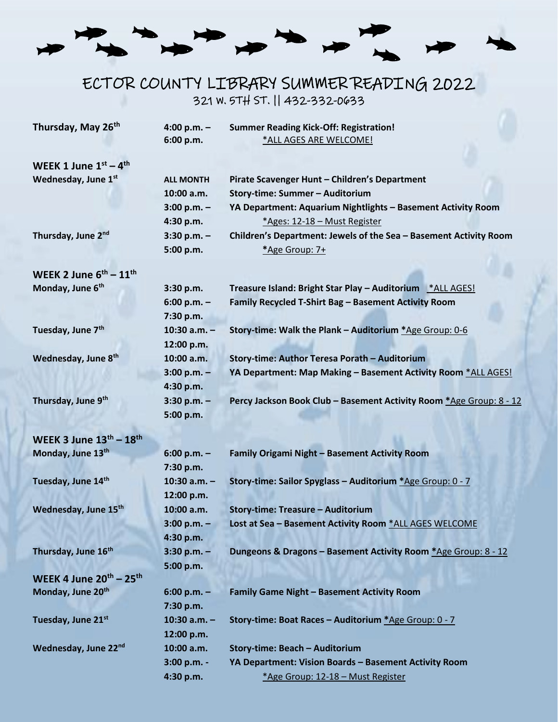# ECTOR COUNTY LIBRARY SUMMER READING 2022 321 W. 5TH ST. || 432-332-0633

| Thursday, May 26th                            | 4:00 p.m. $-$<br>6:00 p.m. | <b>Summer Reading Kick-Off: Registration!</b><br>*ALL AGES ARE WELCOME! |
|-----------------------------------------------|----------------------------|-------------------------------------------------------------------------|
|                                               |                            |                                                                         |
| WEEK 1 June $1^{st} - 4^{th}$                 |                            |                                                                         |
| Wednesday, June 1st                           | <b>ALL MONTH</b>           | Pirate Scavenger Hunt - Children's Department                           |
|                                               | 10:00 a.m.                 | Story-time: Summer - Auditorium                                         |
|                                               | $3:00 p.m. -$              | YA Department: Aquarium Nightlights - Basement Activity Room            |
|                                               | 4:30 p.m.                  | *Ages: 12-18 - Must Register                                            |
| Thursday, June 2nd                            | $3:30 p.m. -$              | Children's Department: Jewels of the Sea - Basement Activity Room       |
|                                               | 5:00 p.m.                  | *Age Group: 7+                                                          |
| WEEK 2 June $6^{th}$ – $11^{th}$              |                            |                                                                         |
| Monday, June 6 <sup>th</sup>                  | 3:30 p.m.                  | Treasure Island: Bright Star Play - Auditorium * ALL AGES!              |
|                                               | $6:00 p.m. -$              | Family Recycled T-Shirt Bag - Basement Activity Room                    |
|                                               | 7:30 p.m.                  |                                                                         |
| Tuesday, June 7 <sup>th</sup>                 | $10:30$ a.m. $-$           | Story-time: Walk the Plank - Auditorium *Age Group: 0-6                 |
|                                               | 12:00 p.m.                 |                                                                         |
| Wednesday, June 8th                           | 10:00 a.m.                 | Story-time: Author Teresa Porath - Auditorium                           |
|                                               | $3:00 p.m. -$              | YA Department: Map Making - Basement Activity Room *ALL AGES!           |
|                                               | 4:30 p.m.                  |                                                                         |
| Thursday, June 9 <sup>th</sup>                | $3:30 p.m. -$              | Percy Jackson Book Club - Basement Activity Room *Age Group: 8 - 12     |
|                                               | 5:00 p.m.                  |                                                                         |
|                                               |                            |                                                                         |
| WEEK 3 June $13^{\text{th}} - 18^{\text{th}}$ |                            |                                                                         |
| Monday, June 13th                             | $6:00 p.m. -$              | Family Origami Night - Basement Activity Room                           |
|                                               | 7:30 p.m.                  |                                                                         |
| Tuesday, June 14th                            | $10:30$ a.m. $-$           | Story-time: Sailor Spyglass - Auditorium *Age Group: 0 - 7              |
|                                               | 12:00 p.m.                 |                                                                         |
| Wednesday, June 15th                          | 10:00 a.m.                 | <b>Story-time: Treasure - Auditorium</b>                                |
|                                               | $3:00 p.m. -$              | Lost at Sea - Basement Activity Room *ALL AGES WELCOME                  |
|                                               | 4:30 p.m.                  |                                                                         |
| Thursday, June 16th                           | $3:30$ p.m. $-$            | Dungeons & Dragons - Basement Activity Room *Age Group: 8 - 12          |
|                                               | 5:00 p.m.                  |                                                                         |
| WEEK 4 June $20^{th}$ – $25^{th}$             |                            |                                                                         |
| Monday, June 20th                             | $6:00 p.m. -$              | <b>Family Game Night - Basement Activity Room</b>                       |
|                                               | 7:30 p.m.                  |                                                                         |
| Tuesday, June 21st                            | $10:30$ a.m. $-$           | Story-time: Boat Races - Auditorium *Age Group: 0 - 7                   |
|                                               | 12:00 p.m.                 |                                                                         |
| Wednesday, June 22nd                          | 10:00 a.m.                 | Story-time: Beach - Auditorium                                          |
|                                               | 3:00 p.m. -                | YA Department: Vision Boards - Basement Activity Room                   |
|                                               | 4:30 p.m.                  | *Age Group: 12-18 - Must Register                                       |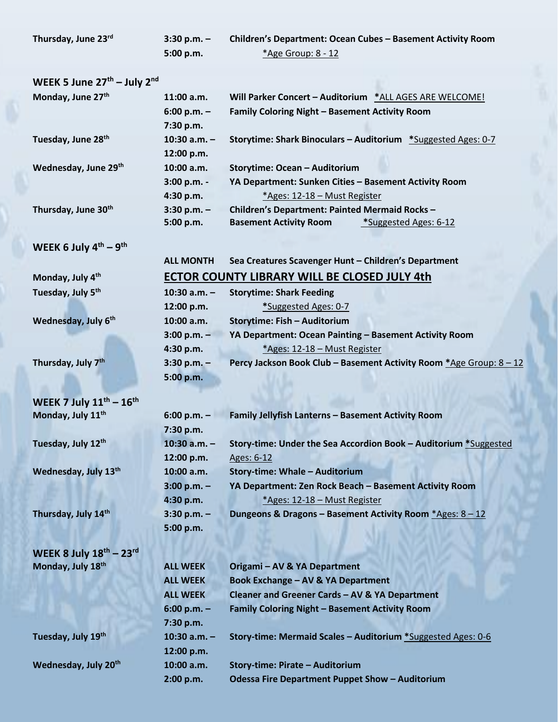| Thursday, June 23 <sup>rd</sup> | $3:30$ p.m. $-$ | <b>Children's Department: Ocean Cubes - Basement Activity Room</b> |
|---------------------------------|-----------------|--------------------------------------------------------------------|
|                                 | 5:00 p.m.       | *Age Group: 8 - 12                                                 |

### **WEEK 5 June 27th – July 2nd**

| Monday, June 27th               | $11:00$ a.m.     | Will Parker Concert - Auditorium *ALL AGES ARE WELCOME!              |
|---------------------------------|------------------|----------------------------------------------------------------------|
|                                 | $6:00 p.m. -$    | Family Coloring Night - Basement Activity Room                       |
|                                 | 7:30 p.m.        |                                                                      |
| Tuesday, June 28 <sup>th</sup>  | $10:30$ a.m. $-$ | <b>Storytime: Shark Binoculars - Auditorium *Suggested Ages: 0-7</b> |
|                                 | 12:00 p.m.       |                                                                      |
| Wednesday, June 29th            | 10:00 a.m.       | Storytime: Ocean - Auditorium                                        |
|                                 | 3:00 p.m. -      | YA Department: Sunken Cities - Basement Activity Room                |
|                                 | 4:30 p.m.        | *Ages: 12-18 - Must Register                                         |
| Thursday, June 30 <sup>th</sup> | $3:30 p.m. -$    | Children's Department: Painted Mermaid Rocks -                       |
|                                 | 5:00 p.m.        | *Suggested Ages: 6-12<br><b>Basement Activity Room</b>               |

### **WEEK 6 July 4th – 9 th**

**Tuesday, July 5<sup>th</sup>** 

**Wednesday, July 6<sup>th</sup>** 

**Thursday, July 7<sup>th</sup>** 

**Monday, July 11<sup>th</sup>** 

**Tuesday, July 12<sup>th</sup>** 

**Wednesday, July 13<sup>th</sup>** 

**Thursday, July 14<sup>th</sup>** 

**WEEK 7 July 11th – 16th**

## **ALL MONTH Sea Creatures Scavenger Hunt – Children's Department Monday, July 4th ECTOR COUNTY LIBRARY WILL BE CLOSED JULY 4th**

| $10:30$ a.m. $-$ | <b>Storytime: Shark Feeding</b>                                     |
|------------------|---------------------------------------------------------------------|
| 12:00 p.m.       | *Suggested Ages: 0-7                                                |
| 10:00 a.m.       | Storytime: Fish - Auditorium                                        |
| $3:00 p.m. -$    | YA Department: Ocean Painting - Basement Activity Room              |
| 4:30 p.m.        | *Ages: 12-18 - Must Register                                        |
| $3:30 p.m. -$    | Percy Jackson Book Club - Basement Activity Room *Age Group: 8 - 12 |
| 5:00 p.m.        |                                                                     |

| $6:00 p.m. -$    | Family Jellyfish Lanterns - Basement Activity Room               |
|------------------|------------------------------------------------------------------|
| 7:30 p.m.        |                                                                  |
| $10:30$ a.m. $-$ | Story-time: Under the Sea Accordion Book - Auditorium *Suggested |
| 12:00 p.m.       | Ages: 6-12                                                       |
| 10:00 a.m.       | Story-time: Whale - Auditorium                                   |
| $3:00 p.m. -$    | YA Department: Zen Rock Beach - Basement Activity Room           |
| 4:30 p.m.        | *Ages: 12-18 - Must Register                                     |
| $3:30 p.m. -$    | Dungeons & Dragons - Basement Activity Room $*$ Ages: 8 - 12     |
| 5:00 p.m.        |                                                                  |
|                  |                                                                  |

| WEEK 8 July $18^{th}$ – $23^{rd}$ |                  |                                                                     |
|-----------------------------------|------------------|---------------------------------------------------------------------|
| Monday, July 18th                 | <b>ALL WEEK</b>  | Origami - AV & YA Department                                        |
|                                   | <b>ALL WEEK</b>  | <b>Book Exchange - AV &amp; YA Department</b>                       |
|                                   | <b>ALL WEEK</b>  | Cleaner and Greener Cards - AV & YA Department                      |
|                                   | $6:00 p.m. -$    | <b>Family Coloring Night - Basement Activity Room</b>               |
|                                   | 7:30 p.m.        |                                                                     |
| Tuesday, July 19th                | $10:30$ a.m. $-$ | <b>Story-time: Mermaid Scales - Auditorium *Suggested Ages: 0-6</b> |
|                                   | 12:00 p.m.       |                                                                     |
| Wednesday, July 20 <sup>th</sup>  | 10:00 a.m.       | Story-time: Pirate - Auditorium                                     |
|                                   | 2:00 p.m.        | <b>Odessa Fire Department Puppet Show - Auditorium</b>              |